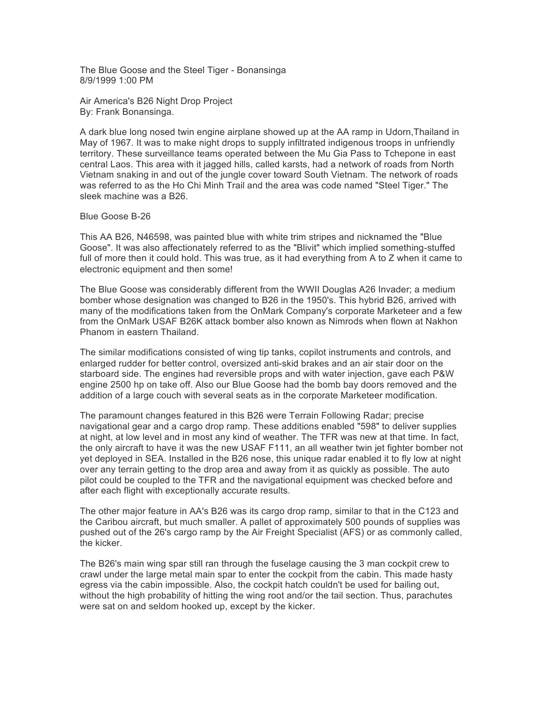The Blue Goose and the Steel Tiger - Bonansinga 8/9/1999 1:00 PM

Air America's B26 Night Drop Project By: Frank Bonansinga.

A dark blue long nosed twin engine airplane showed up at the AA ramp in Udorn,Thailand in May of 1967. It was to make night drops to supply infiltrated indigenous troops in unfriendly territory. These surveillance teams operated between the Mu Gia Pass to Tchepone in east central Laos. This area with it jagged hills, called karsts, had a network of roads from North Vietnam snaking in and out of the jungle cover toward South Vietnam. The network of roads was referred to as the Ho Chi Minh Trail and the area was code named "Steel Tiger." The sleek machine was a B26.

## Blue Goose B-26

This AA B26, N46598, was painted blue with white trim stripes and nicknamed the "Blue Goose". It was also affectionately referred to as the "Blivit" which implied something-stuffed full of more then it could hold. This was true, as it had everything from A to Z when it came to electronic equipment and then some!

The Blue Goose was considerably different from the WWII Douglas A26 Invader; a medium bomber whose designation was changed to B26 in the 1950's. This hybrid B26, arrived with many of the modifications taken from the OnMark Company's corporate Marketeer and a few from the OnMark USAF B26K attack bomber also known as Nimrods when flown at Nakhon Phanom in eastern Thailand.

The similar modifications consisted of wing tip tanks, copilot instruments and controls, and enlarged rudder for better control, oversized anti-skid brakes and an air stair door on the starboard side. The engines had reversible props and with water injection, gave each P&W engine 2500 hp on take off. Also our Blue Goose had the bomb bay doors removed and the addition of a large couch with several seats as in the corporate Marketeer modification.

The paramount changes featured in this B26 were Terrain Following Radar; precise navigational gear and a cargo drop ramp. These additions enabled "598" to deliver supplies at night, at low level and in most any kind of weather. The TFR was new at that time. In fact, the only aircraft to have it was the new USAF F111, an all weather twin jet fighter bomber not yet deployed in SEA. Installed in the B26 nose, this unique radar enabled it to fly low at night over any terrain getting to the drop area and away from it as quickly as possible. The auto pilot could be coupled to the TFR and the navigational equipment was checked before and after each flight with exceptionally accurate results.

The other major feature in AA's B26 was its cargo drop ramp, similar to that in the C123 and the Caribou aircraft, but much smaller. A pallet of approximately 500 pounds of supplies was pushed out of the 26's cargo ramp by the Air Freight Specialist (AFS) or as commonly called, the kicker.

The B26's main wing spar still ran through the fuselage causing the 3 man cockpit crew to crawl under the large metal main spar to enter the cockpit from the cabin. This made hasty egress via the cabin impossible. Also, the cockpit hatch couldn't be used for bailing out, without the high probability of hitting the wing root and/or the tail section. Thus, parachutes were sat on and seldom hooked up, except by the kicker.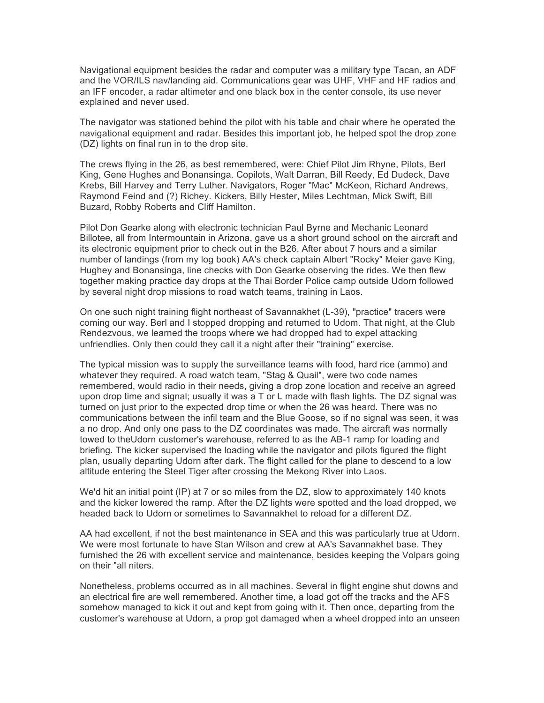Navigational equipment besides the radar and computer was a military type Tacan, an ADF and the VOR/ILS nav/landing aid. Communications gear was UHF, VHF and HF radios and an IFF encoder, a radar altimeter and one black box in the center console, its use never explained and never used.

The navigator was stationed behind the pilot with his table and chair where he operated the navigational equipment and radar. Besides this important job, he helped spot the drop zone (DZ) lights on final run in to the drop site.

The crews flying in the 26, as best remembered, were: Chief Pilot Jim Rhyne, Pilots, Berl King, Gene Hughes and Bonansinga. Copilots, Walt Darran, Bill Reedy, Ed Dudeck, Dave Krebs, Bill Harvey and Terry Luther. Navigators, Roger "Mac" McKeon, Richard Andrews, Raymond Feind and (?) Richey. Kickers, Billy Hester, Miles Lechtman, Mick Swift, Bill Buzard, Robby Roberts and Cliff Hamilton.

Pilot Don Gearke along with electronic technician Paul Byrne and Mechanic Leonard Billotee, all from Intermountain in Arizona, gave us a short ground school on the aircraft and its electronic equipment prior to check out in the B26. After about 7 hours and a similar number of landings (from my log book) AA's check captain Albert "Rocky" Meier gave King, Hughey and Bonansinga, line checks with Don Gearke observing the rides. We then flew together making practice day drops at the Thai Border Police camp outside Udorn followed by several night drop missions to road watch teams, training in Laos.

On one such night training flight northeast of Savannakhet (L-39), "practice" tracers were coming our way. Berl and I stopped dropping and returned to Udom. That night, at the Club Rendezvous, we learned the troops where we had dropped had to expel attacking unfriendlies. Only then could they call it a night after their "training" exercise.

The typical mission was to supply the surveillance teams with food, hard rice (ammo) and whatever they required. A road watch team, "Stag & Quail", were two code names remembered, would radio in their needs, giving a drop zone location and receive an agreed upon drop time and signal; usually it was a T or L made with flash lights. The DZ signal was turned on just prior to the expected drop time or when the 26 was heard. There was no communications between the infil team and the Blue Goose, so if no signal was seen, it was a no drop. And only one pass to the DZ coordinates was made. The aircraft was normally towed to theUdorn customer's warehouse, referred to as the AB-1 ramp for loading and briefing. The kicker supervised the loading while the navigator and pilots figured the flight plan, usually departing Udorn after dark. The flight called for the plane to descend to a low altitude entering the Steel Tiger after crossing the Mekong River into Laos.

We'd hit an initial point (IP) at 7 or so miles from the DZ, slow to approximately 140 knots and the kicker lowered the ramp. After the DZ lights were spotted and the load dropped, we headed back to Udorn or sometimes to Savannakhet to reload for a different DZ.

AA had excellent, if not the best maintenance in SEA and this was particularly true at Udorn. We were most fortunate to have Stan Wilson and crew at AA's Savannakhet base. They furnished the 26 with excellent service and maintenance, besides keeping the Volpars going on their "all niters.

Nonetheless, problems occurred as in all machines. Several in flight engine shut downs and an electrical fire are well remembered. Another time, a load got off the tracks and the AFS somehow managed to kick it out and kept from going with it. Then once, departing from the customer's warehouse at Udorn, a prop got damaged when a wheel dropped into an unseen